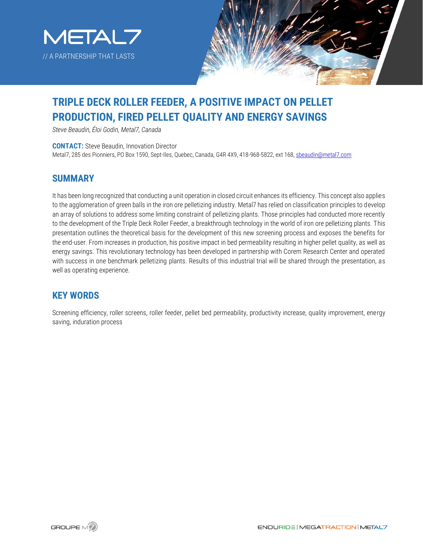



# **TRIPLE DECK ROLLER FEEDER, A POSITIVE IMPACT ON PELLET PRODUCTION, FIRED PELLET QUALITY AND ENERGY SAVINGS**

*Steve Beaudin, Éloi Godin, Metal7, Canada*

**CONTACT:** Steve Beaudin, Innovation Director Metal7, 285 des Pionniers, PO Box 1590, Sept-Iles, Quebec, Canada, G4R 4X9, 418-968-5822, ext 168[, sbeaudin@metal7.com](mailto:sbeaudin@metal7.com)

#### **SUMMARY**

It has been long recognized that conducting a unit operation in closed circuit enhances its efficiency. This concept also applies to the agglomeration of green balls in the iron ore pelletizing industry. Metal7 has relied on classification principles to develop an array of solutions to address some limiting constraint of pelletizing plants. Those principles had conducted more recently to the development of the Triple Deck Roller Feeder, a breakthrough technology in the world of iron ore pelletizing plants. This presentation outlines the theoretical basis for the development of this new screening process and exposes the benefits for the end-user. From increases in production, his positive impact in bed permeability resulting in higher pellet quality, as well as energy savings. This revolutionary technology has been developed in partnership with Corem Research Center and operated with success in one benchmark pelletizing plants. Results of this industrial trial will be shared through the presentation, as well as operating experience.

#### **KEY WORDS**

Screening efficiency, roller screens, roller feeder, pellet bed permeability, productivity increase, quality improvement, energy saving, induration process

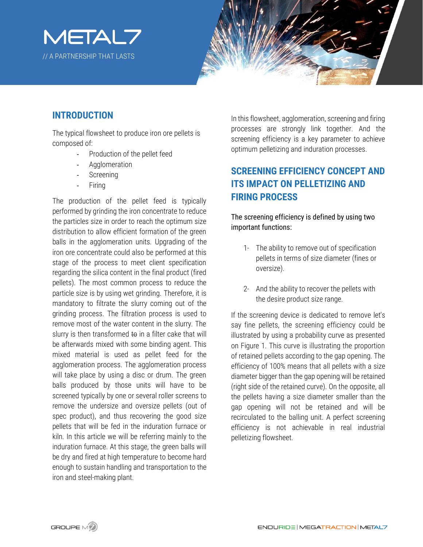



#### **INTRODUCTION**

The typical flowsheet to produce iron ore pellets is composed of:

- Production of the pellet feed
- Agglomeration
- **Screening**
- **Firing**

The production of the pellet feed is typically performed by grinding the iron concentrate to reduce the particles size in order to reach the optimum size distribution to allow efficient formation of the green balls in the agglomeration units. Upgrading of the iron ore concentrate could also be performed at this stage of the process to meet client specification regarding the silica content in the final product (fired pellets). The most common process to reduce the particle size is by using wet grinding. Therefore, it is mandatory to filtrate the slurry coming out of the grinding process. The filtration process is used to remove most of the water content in the slurry. The slurry is then transformed to in a filter cake that will be afterwards mixed with some binding agent. This mixed material is used as pellet feed for the agglomeration process. The agglomeration process will take place by using a disc or drum. The green balls produced by those units will have to be screened typically by one or several roller screens to remove the undersize and oversize pellets (out of spec product), and thus recovering the good size pellets that will be fed in the induration furnace or kiln. In this article we will be referring mainly to the induration furnace. At this stage, the green balls will be dry and fired at high temperature to become hard enough to sustain handling and transportation to the iron and steel-making plant.

In this flowsheet, agglomeration, screening and firing processes are strongly link together. And the screening efficiency is a key parameter to achieve optimum pelletizing and induration processes.

### **SCREENING EFFICIENCY CONCEPT AND ITS IMPACT ON PELLETIZING AND FIRING PROCESS**

The screening efficiency is defined by using two important functions:

- 1- The ability to remove out of specification pellets in terms of size diameter (fines or oversize).
- 2- And the ability to recover the pellets with the desire product size range.

If the screening device is dedicated to remove let's say fine pellets, the screening efficiency could be illustrated by using a probability curve as presented on Figure 1. This curve is illustrating the proportion of retained pellets according to the gap opening. The efficiency of 100% means that all pellets with a size diameter bigger than the gap opening will be retained (right side of the retained curve). On the opposite, all the pellets having a size diameter smaller than the gap opening will not be retained and will be recirculated to the balling unit. A perfect screening efficiency is not achievable in real industrial pelletizing flowsheet.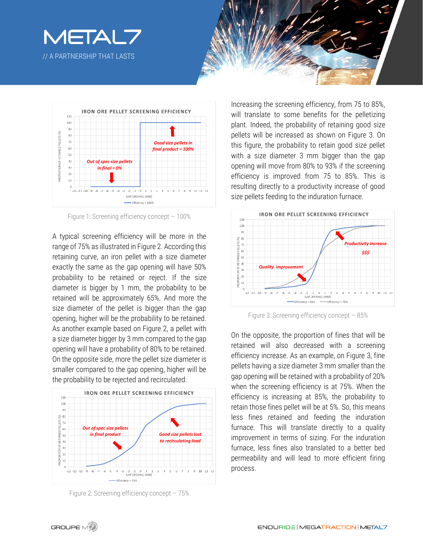





Figure 1: Screening efficiency concept – 100%

A typical screening efficiency will be more in the range of 75% as illustrated in Figure 2. According this retaining curve, an iron pellet with a size diameter exactly the same as the gap opening will have 50% probability to be retained or reject. If the size diameter is bigger by 1 mm, the probability to be retained will be approximately 65%. And more the size diameter of the pellet is bigger than the gap opening, higher will be the probability to be retained. As another example based on Figure 2, a pellet with a size diameter bigger by 3 mm compared to the gap opening will have a probability of 80% to be retained. On the opposite side, more the pellet size diameter is smaller compared to the gap opening, higher will be the probability to be rejected and recirculated.



Figure 2: Screening efficiency concept – 75%

Increasing the screening efficiency, from 75 to 85%, will translate to some benefits for the pelletizing plant. Indeed, the probability of retaining good size pellets will be increased as shown on Figure 3. On this figure, the probability to retain good size pellet with a size diameter 3 mm bigger than the gap opening will move from 80% to 93% if the screening efficiency is improved from 75 to 85%. This is resulting directly to a productivity increase of good size pellets feeding to the induration furnace.



Figure 3: Screening efficiency concept – 85%

On the opposite, the proportion of fines that will be retained will also decreased with a screening efficiency increase. As an example, on Figure 3, fine pellets having a size diameter 3 mm smaller than the gap opening will be retained with a probability of 20% when the screening efficiency is at 75%. When the efficiency is increasing at 85%, the probability to retain those fines pellet will be at 5%. So, this means less fines retained and feeding the induration furnace. This will translate directly to a quality improvement in terms of sizing. For the induration furnace, less fines also translated to a better bed permeability and will lead to more efficient firing process.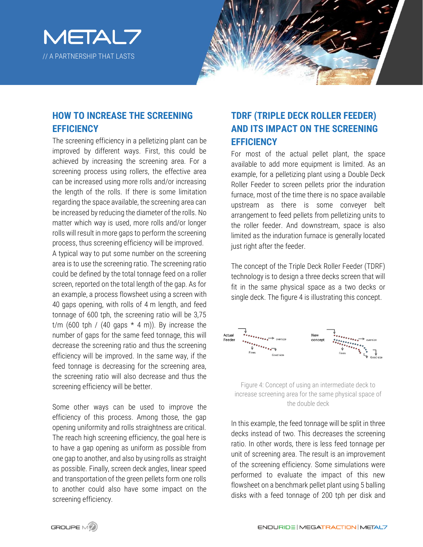



### **HOW TO INCREASE THE SCREENING EFFICIENCY**

The screening efficiency in a pelletizing plant can be improved by different ways. First, this could be achieved by increasing the screening area. For a screening process using rollers, the effective area can be increased using more rolls and/or increasing the length of the rolls. If there is some limitation regarding the space available, the screening area can be increased by reducing the diameter of the rolls. No matter which way is used, more rolls and/or longer rolls will result in more gaps to perform the screening process, thus screening efficiency will be improved.

A typical way to put some number on the screening area is to use the screening ratio. The screening ratio could be defined by the total tonnage feed on a roller screen, reported on the total length of the gap. As for an example, a process flowsheet using a screen with 40 gaps opening, with rolls of 4 m length, and feed tonnage of 600 tph, the screening ratio will be 3,75 t/m (600 tph / (40 gaps  $*$  4 m)). By increase the number of gaps for the same feed tonnage, this will decrease the screening ratio and thus the screening efficiency will be improved. In the same way, if the feed tonnage is decreasing for the screening area, the screening ratio will also decrease and thus the screening efficiency will be better.

Some other ways can be used to improve the efficiency of this process. Among those, the gap opening uniformity and rolls straightness are critical. The reach high screening efficiency, the goal here is to have a gap opening as uniform as possible from one gap to another, and also by using rolls as straight as possible. Finally, screen deck angles, linear speed and transportation of the green pellets form one rolls to another could also have some impact on the screening efficiency.

### **TDRF (TRIPLE DECK ROLLER FEEDER) AND ITS IMPACT ON THE SCREENING EFFICIENCY**

For most of the actual pellet plant, the space available to add more equipment is limited. As an example, for a pelletizing plant using a Double Deck Roller Feeder to screen pellets prior the induration furnace, most of the time there is no space available upstream as there is some conveyer belt arrangement to feed pellets from pelletizing units to the roller feeder. And downstream, space is also limited as the induration furnace is generally located just right after the feeder.

The concept of the Triple Deck Roller Feeder (TDRF) technology is to design a three decks screen that will fit in the same physical space as a two decks or single deck. The figure 4 is illustrating this concept.



Figure 4: Concept of using an intermediate deck to increase screening area for the same physical space of the double deck

In this example, the feed tonnage will be split in three decks instead of two. This decreases the screening ratio. In other words, there is less feed tonnage per unit of screening area. The result is an improvement of the screening efficiency. Some simulations were performed to evaluate the impact of this new flowsheet on a benchmark pellet plant using 5 balling disks with a feed tonnage of 200 tph per disk and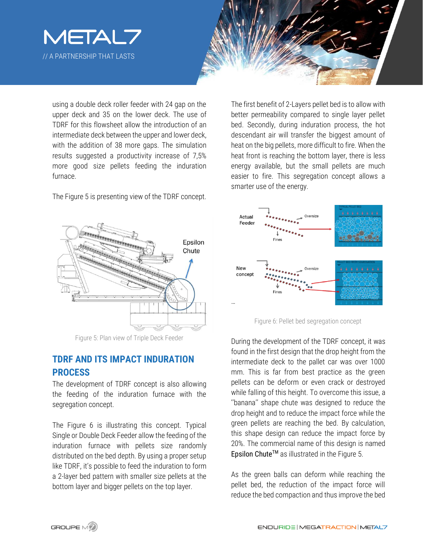



using a double deck roller feeder with 24 gap on the upper deck and 35 on the lower deck. The use of TDRF for this flowsheet allow the introduction of an intermediate deck between the upper and lower deck, with the addition of 38 more gaps. The simulation results suggested a productivity increase of 7,5% more good size pellets feeding the induration furnace.

The Figure 5 is presenting view of the TDRF concept.



Figure 5: Plan view of Triple Deck Feeder

#### **TDRF AND ITS IMPACT INDURATION PROCESS**

The development of TDRF concept is also allowing the feeding of the induration furnace with the segregation concept.

The Figure 6 is illustrating this concept. Typical Single or Double Deck Feeder allow the feeding of the induration furnace with pellets size randomly distributed on the bed depth. By using a proper setup like TDRF, it's possible to feed the induration to form a 2-layer bed pattern with smaller size pellets at the bottom layer and bigger pellets on the top layer.

The first benefit of 2-Layers pellet bed is to allow with better permeability compared to single layer pellet bed. Secondly, during induration process, the hot descendant air will transfer the biggest amount of heat on the big pellets, more difficult to fire. When the heat front is reaching the bottom layer, there is less energy available, but the small pellets are much easier to fire. This segregation concept allows a smarter use of the energy.



Figure 6: Pellet bed segregation concept

During the development of the TDRF concept, it was found in the first design that the drop height from the intermediate deck to the pallet car was over 1000 mm. This is far from best practice as the green pellets can be deform or even crack or destroyed while falling of this height. To overcome this issue, a ''banana'' shape chute was designed to reduce the drop height and to reduce the impact force while the green pellets are reaching the bed. By calculation, this shape design can reduce the impact force by 20%. The commercial name of this design is named Epsilon Chute<sup>™</sup> as illustrated in the Figure 5.

As the green balls can deform while reaching the pellet bed, the reduction of the impact force will reduce the bed compaction and thus improve the bed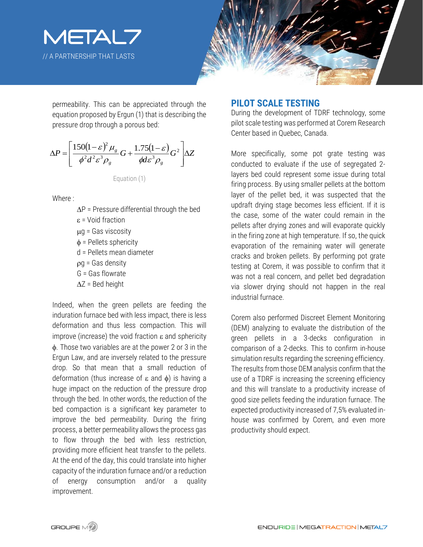



permeability. This can be appreciated through the equation proposed by Ergun (1) that is describing the pressure drop through a porous bed:

$$
\Delta P = \left[ \frac{150(1-\varepsilon)^2 \mu_g}{\phi^2 d^2 \varepsilon^3 \rho_g} G + \frac{1.75(1-\varepsilon)}{\phi d \varepsilon^3 \rho_g} G^2 \right] \Delta Z
$$

Equation (1)

Where :

 $\Delta P$  = Pressure differential through the bed  $\varepsilon$  = Void fraction  $\mu$ g = Gas viscosity  $\phi$  = Pellets sphericity d = Pellets mean diameter  $pq = Gas$  density G = Gas flowrate  $\Delta Z$  = Bed height Indeed, when the green pellets are feeding the

induration furnace bed with less impact, there is less deformation and thus less compaction. This will improve (increase) the void fraction  $\varepsilon$  and sphericity . Those two variables are at the power 2 or 3 in the Ergun Law, and are inversely related to the pressure drop. So that mean that a small reduction of deformation (thus increase of  $\varepsilon$  and  $\phi$ ) is having a huge impact on the reduction of the pressure drop through the bed. In other words, the reduction of the bed compaction is a significant key parameter to improve the bed permeability. During the firing process, a better permeability allows the process gas to flow through the bed with less restriction, providing more efficient heat transfer to the pellets. At the end of the day, this could translate into higher capacity of the induration furnace and/or a reduction of energy consumption and/or a quality improvement.

#### **PILOT SCALE TESTING**

During the development of TDRF technology, some pilot scale testing was performed at Corem Research Center based in Quebec, Canada.

More specifically, some pot grate testing was conducted to evaluate if the use of segregated 2 layers bed could represent some issue during total firing process. By using smaller pellets at the bottom layer of the pellet bed, it was suspected that the updraft drying stage becomes less efficient. If it is the case, some of the water could remain in the pellets after drying zones and will evaporate quickly in the firing zone at high temperature. If so, the quick evaporation of the remaining water will generate cracks and broken pellets. By performing pot grate testing at Corem, it was possible to confirm that it was not a real concern, and pellet bed degradation via slower drying should not happen in the real industrial furnace.

Corem also performed Discreet Element Monitoring (DEM) analyzing to evaluate the distribution of the green pellets in a 3-decks configuration in comparison of a 2-decks. This to confirm in-house simulation results regarding the screening efficiency. The results from those DEM analysis confirm that the use of a TDRF is increasing the screening efficiency and this will translate to a productivity increase of good size pellets feeding the induration furnace. The expected productivity increased of 7,5% evaluated inhouse was confirmed by Corem, and even more productivity should expect.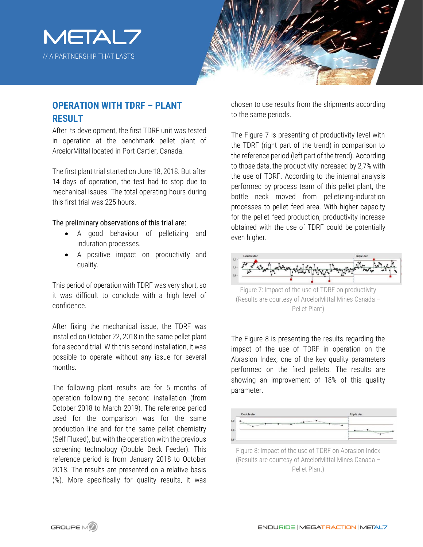



## **OPERATION WITH TDRF – PLANT RESULT**

After its development, the first TDRF unit was tested in operation at the benchmark pellet plant of ArcelorMittal located in Port-Cartier, Canada.

The first plant trial started on June 18, 2018. But after 14 days of operation, the test had to stop due to mechanical issues. The total operating hours during this first trial was 225 hours.

#### The preliminary observations of this trial are:

- A good behaviour of pelletizing and induration processes.
- A positive impact on productivity and quality.

This period of operation with TDRF was very short, so it was difficult to conclude with a high level of confidence.

After fixing the mechanical issue, the TDRF was installed on October 22, 2018 in the same pellet plant for a second trial. With this second installation, it was possible to operate without any issue for several months.

The following plant results are for 5 months of operation following the second installation (from October 2018 to March 2019). The reference period used for the comparison was for the same production line and for the same pellet chemistry (Self Fluxed), but with the operation with the previous screening technology (Double Deck Feeder). This reference period is from January 2018 to October 2018. The results are presented on a relative basis (%). More specifically for quality results, it was

chosen to use results from the shipments according to the same periods.

The Figure 7 is presenting of productivity level with the TDRF (right part of the trend) in comparison to the reference period (left part of the trend). According to those data, the productivity increased by 2,7% with the use of TDRF. According to the internal analysis performed by process team of this pellet plant, the bottle neck moved from pelletizing-induration processes to pellet feed area. With higher capacity for the pellet feed production, productivity increase obtained with the use of TDRF could be potentially even higher.



(Results are courtesy of ArcelorMittal Mines Canada – Pellet Plant)

The Figure 8 is presenting the results regarding the impact of the use of TDRF in operation on the Abrasion Index, one of the key quality parameters performed on the fired pellets. The results are showing an improvement of 18% of this quality parameter.



Figure 8: Impact of the use of TDRF on Abrasion Index (Results are courtesy of ArcelorMittal Mines Canada – Pellet Plant)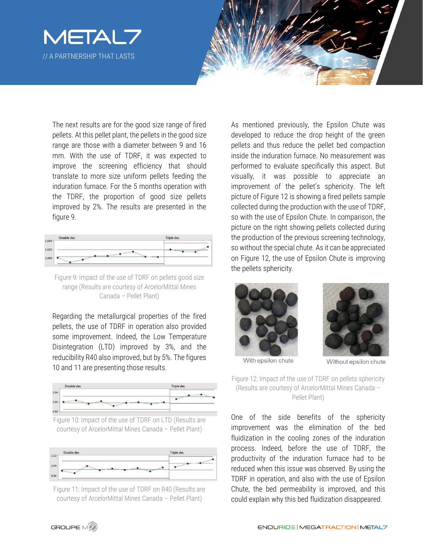



The next results are for the good size range of fired pellets. At this pellet plant, the pellets in the good size range are those with a diameter between 9 and 16 mm. With the use of TDRF, it was expected to improve the screening efficiency that should translate to more size uniform pellets feeding the induration furnace. For the 5 months operation with the TDRF, the proportion of good size pellets improved by 2%. The results are presented in the figure 9.



Figure 9: Impact of the use of TDRF on pellets good size range (Results are courtesy of ArcelorMittal Mines Canada – Pellet Plant)

Regarding the metallurgical properties of the fired pellets, the use of TDRF in operation also provided some improvement. Indeed, the Low Temperature Disintegration (LTD) improved by 3%, and the reducibility R40 also improved, but by 5%. The figures 10 and 11 are presenting those results.







Figure 11: Impact of the use of TDRF on R40 (Results are courtesy of ArcelorMittal Mines Canada – Pellet Plant)

As mentioned previously, the Epsilon Chute was developed to reduce the drop height of the green pellets and thus reduce the pellet bed compaction inside the induration furnace. No measurement was performed to evaluate specifically this aspect. But visually, it was possible to appreciate an improvement of the pellet's sphericity. The left picture of Figure 12 is showing a fired pellets sample collected during the production with the use of TDRF, so with the use of Epsilon Chute. In comparison, the picture on the right showing pellets collected during the production of the previous screening technology, so without the special chute. As it can be appreciated on Figure 12, the use of Epsilon Chute is improving the pellets sphericity.





With epsilon chute

Without epsilon chute

Figure 12: Impact of the use of TDRF on pellets sphericity (Results are courtesy of ArcelorMittal Mines Canada – Pellet Plant)

One of the side benefits of the sphericity improvement was the elimination of the bed fluidization in the cooling zones of the induration process. Indeed, before the use of TDRF, the productivity of the induration furnace had to be reduced when this issue was observed. By using the TDRF in operation, and also with the use of Epsilon Chute, the bed permeability is improved, and this could explain why this bed fluidization disappeared.